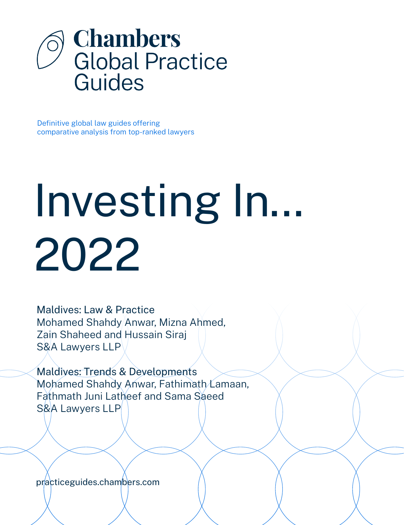

Definitive global law guides offering comparative analysis from top-ranked lawyers

# Investing In... 2022

Maldives: Law & Practice Mohamed Shahdy Anwar, Mizna Ahmed, Zain Shaheed and Hussain Siraj S&A Lawyers LLP

Maldives: Trends & Developments Mohamed Shahdy Anwar, Fathimath Lamaan, Fathmath Juni Latheef and Sama Saeed S&A Lawyers LLP

[practiceguides.chambers.com](http://practiceguides.chambers.com)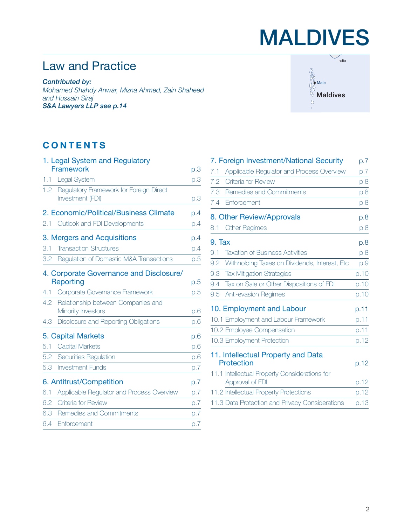## MALDIVES

## Law and Practice

*Contributed by: Mohamed Shahdy Anwar, Mizna Ahmed, Zain Shaheed and Hussain Siraj S&A Lawyers LLP [see p.14](#page-13-0)*



### **CONTENTS**

|     | 1. Legal System and Regulatory                              |     |
|-----|-------------------------------------------------------------|-----|
|     | Framework                                                   | p.3 |
| 1.1 | Legal System                                                | p.3 |
| 1.2 | Regulatory Framework for Foreign Direct<br>Investment (FDI) | p.3 |
|     | 2. Economic/Political/Business Climate                      | p.4 |
| 2.1 | Outlook and FDI Developments                                | p.4 |
|     | 3. Mergers and Acquisitions                                 | p.4 |
| 3.1 | <b>Transaction Structures</b>                               | p.4 |
| 3.2 | Regulation of Domestic M&A Transactions                     | p.5 |
|     | 4. Corporate Governance and Disclosure/                     |     |
|     | Reporting                                                   | p.5 |
| 4.1 | Corporate Governance Framework                              | p.5 |
| 4.2 | Relationship between Companies and<br>Minority Investors    | p.6 |
| 4.3 | Disclosure and Reporting Obligations                        | p.6 |
|     | 5. Capital Markets                                          | p.6 |
| 5.1 | <b>Capital Markets</b>                                      | p.6 |
| 5.2 | Securities Regulation                                       | p.6 |
| 5.3 | <b>Investment Funds</b>                                     | p.7 |
|     | 6. Antitrust/Competition                                    | p.7 |
| 6.1 | Applicable Regulator and Process Overview                   | D.7 |
| 6.2 | Criteria for Review                                         | D.7 |
| 6.3 | Remedies and Commitments                                    | D.7 |
| 6.4 | <b>Enforcement</b>                                          | p.7 |

|                            | 7. Foreign Investment/National Security         | p.7  |
|----------------------------|-------------------------------------------------|------|
| 7.1                        | Applicable Regulator and Process Overview       | p.7  |
| 7.2                        | <b>Criteria for Review</b>                      | p.8  |
| 7.3                        | Remedies and Commitments                        | p.8  |
| 7.4                        | Enforcement                                     | p.8  |
|                            | 8. Other Review/Approvals                       | p.8  |
| 8.1                        | <b>Other Regimes</b>                            | p.8  |
| 9. Tax                     |                                                 | p.8  |
| 9.1                        | <b>Taxation of Business Activities</b>          | p.8  |
| 9.2                        | Withholding Taxes on Dividends, Interest, Etc.  | p.9  |
| 9.3                        | <b>Tax Mitigation Strategies</b>                | p.10 |
| 9.4                        | Tax on Sale or Other Dispositions of FDI        | p.10 |
| 9.5                        | <b>Anti-evasion Regimes</b>                     | p.10 |
|                            | 10. Employment and Labour                       | p.11 |
|                            | 10.1 Employment and Labour Framework            | p.11 |
| 10.2 Employee Compensation |                                                 | p.11 |
|                            | 10.3 Employment Protection                      | p.12 |
|                            | 11. Intellectual Property and Data              |      |
| Protection                 |                                                 | p.12 |
|                            | 11.1 Intellectual Property Considerations for   |      |
|                            | Approval of FDI                                 | p.12 |
|                            | 11.2 Intellectual Property Protections          | p.12 |
|                            | 11.3 Data Protection and Privacy Considerations | p.13 |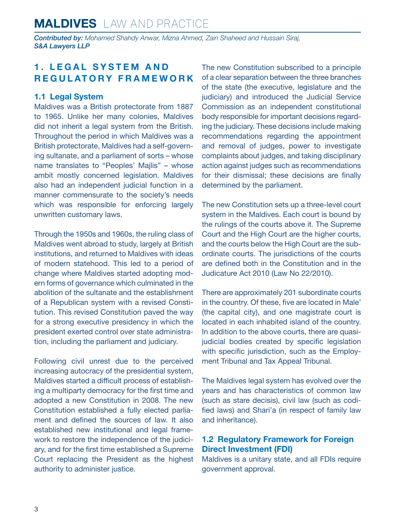<span id="page-2-0"></span>*Contributed by: Mohamed Shahdy Anwar, Mizna Ahmed, Zain Shaheed and Hussain Siraj, S&A Lawyers LLP*

#### **1. LEGAL SYSTEM AND REGULATORY FRAMEWORK**

#### **1.1 Legal System**

Maldives was a British protectorate from 1887 to 1965. Unlike her many colonies, Maldives did not inherit a legal system from the British. Throughout the period in which Maldives was a British protectorate, Maldives had a self-governing sultanate, and a parliament of sorts – whose name translates to "Peoples' Majlis" – whose ambit mostly concerned legislation. Maldives also had an independent judicial function in a manner commensurate to the society's needs which was responsible for enforcing largely unwritten customary laws.

Through the 1950s and 1960s, the ruling class of Maldives went abroad to study, largely at British institutions, and returned to Maldives with ideas of modern statehood. This led to a period of change where Maldives started adopting modern forms of governance which culminated in the abolition of the sultanate and the establishment of a Republican system with a revised Constitution. This revised Constitution paved the way for a strong executive presidency in which the president exerted control over state administration, including the parliament and judiciary.

Following civil unrest due to the perceived increasing autocracy of the presidential system, Maldives started a difficult process of establishing a multiparty democracy for the first time and adopted a new Constitution in 2008. The new Constitution established a fully elected parliament and defined the sources of law. It also established new institutional and legal framework to restore the independence of the judiciary, and for the first time established a Supreme Court replacing the President as the highest authority to administer justice.

The new Constitution subscribed to a principle of a clear separation between the three branches of the state (the executive, legislature and the judiciary) and introduced the Judicial Service Commission as an independent constitutional body responsible for important decisions regarding the judiciary. These decisions include making recommendations regarding the appointment and removal of judges, power to investigate complaints about judges, and taking disciplinary action against judges such as recommendations for their dismissal; these decisions are finally determined by the parliament.

The new Constitution sets up a three-level court system in the Maldives. Each court is bound by the rulings of the courts above it. The Supreme Court and the High Court are the higher courts, and the courts below the High Court are the subordinate courts. The jurisdictions of the courts are defined both in the Constitution and in the Judicature Act 2010 (Law No 22/2010).

There are approximately 201 subordinate courts in the country. Of these, five are located in Male' (the capital city), and one magistrate court is located in each inhabited island of the country. In addition to the above courts, there are quasijudicial bodies created by specific legislation with specific jurisdiction, such as the Employment Tribunal and Tax Appeal Tribunal.

The Maldives legal system has evolved over the years and has characteristics of common law (such as stare decisis), civil law (such as codified laws) and Shari'a (in respect of family law and inheritance).

#### **1.2 Regulatory Framework for Foreign Direct Investment (FDI)**

Maldives is a unitary state, and all FDIs require government approval.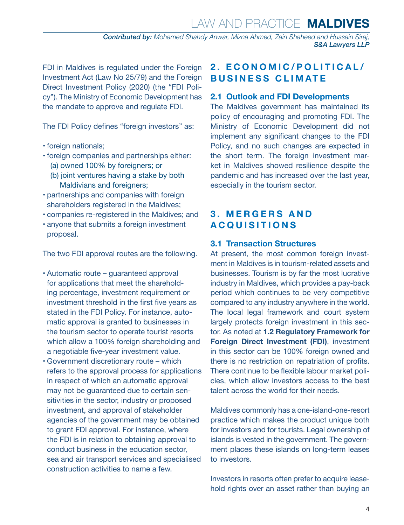*Contributed by: Mohamed Shahdy Anwar, Mizna Ahmed, Zain Shaheed and Hussain Siraj, S&A Lawyers LLP*

<span id="page-3-0"></span>FDI in Maldives is regulated under the Foreign Investment Act (Law No 25/79) and the Foreign Direct Investment Policy (2020) (the "FDI Policy"). The Ministry of Economic Development has the mandate to approve and regulate FDI.

The FDI Policy defines "foreign investors" as:

- foreign nationals;
- foreign companies and partnerships either:
	- (a) owned 100% by foreigners; or
	- (b) joint ventures having a stake by both Maldivians and foreigners;
- partnerships and companies with foreign shareholders registered in the Maldives;
- companies re-registered in the Maldives; and
- anyone that submits a foreign investment proposal.

The two FDI approval routes are the following.

- Automatic route guaranteed approval for applications that meet the shareholding percentage, investment requirement or investment threshold in the first five years as stated in the FDI Policy. For instance, automatic approval is granted to businesses in the tourism sector to operate tourist resorts which allow a 100% foreign shareholding and a negotiable five-year investment value.
- Government discretionary route which refers to the approval process for applications in respect of which an automatic approval may not be guaranteed due to certain sensitivities in the sector, industry or proposed investment, and approval of stakeholder agencies of the government may be obtained to grant FDI approval. For instance, where the FDI is in relation to obtaining approval to conduct business in the education sector, sea and air transport services and specialised construction activities to name a few.

#### **2. ECONOMIC/POLITICAL/ BUSINESS CLIMATE**

#### **2.1 Outlook and FDI Developments**

The Maldives government has maintained its policy of encouraging and promoting FDI. The Ministry of Economic Development did not implement any significant changes to the FDI Policy, and no such changes are expected in the short term. The foreign investment market in Maldives showed resilience despite the pandemic and has increased over the last year, especially in the tourism sector.

#### **3 . M E R G E R S A N D ACQUISITIONS**

#### **3.1 Transaction Structures**

At present, the most common foreign investment in Maldives is in tourism-related assets and businesses. Tourism is by far the most lucrative industry in Maldives, which provides a pay-back period which continues to be very competitive compared to any industry anywhere in the world. The local legal framework and court system largely protects foreign investment in this sector. As noted at **1.2 Regulatory Framework for Foreign Direct Investment (FDI)**, investment in this sector can be 100% foreign owned and there is no restriction on repatriation of profits. There continue to be flexible labour market policies, which allow investors access to the best talent across the world for their needs.

Maldives commonly has a one-island-one-resort practice which makes the product unique both for investors and for tourists. Legal ownership of islands is vested in the government. The government places these islands on long-term leases to investors.

Investors in resorts often prefer to acquire leasehold rights over an asset rather than buying an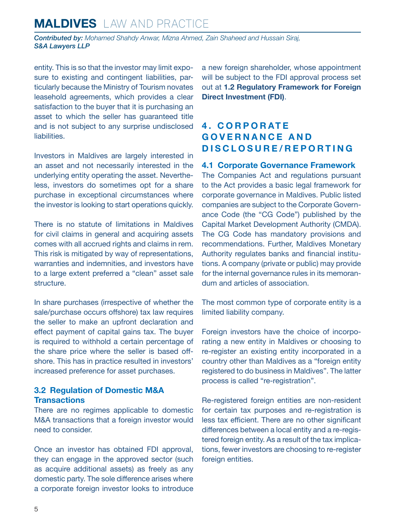<span id="page-4-0"></span>*Contributed by: Mohamed Shahdy Anwar, Mizna Ahmed, Zain Shaheed and Hussain Siraj, S&A Lawyers LLP*

entity. This is so that the investor may limit exposure to existing and contingent liabilities, particularly because the Ministry of Tourism novates leasehold agreements, which provides a clear satisfaction to the buyer that it is purchasing an asset to which the seller has guaranteed title and is not subject to any surprise undisclosed liabilities.

Investors in Maldives are largely interested in an asset and not necessarily interested in the underlying entity operating the asset. Nevertheless, investors do sometimes opt for a share purchase in exceptional circumstances where the investor is looking to start operations quickly.

There is no statute of limitations in Maldives for civil claims in general and acquiring assets comes with all accrued rights and claims in rem. This risk is mitigated by way of representations, warranties and indemnities, and investors have to a large extent preferred a "clean" asset sale structure.

In share purchases (irrespective of whether the sale/purchase occurs offshore) tax law requires the seller to make an upfront declaration and effect payment of capital gains tax. The buyer is required to withhold a certain percentage of the share price where the seller is based offshore. This has in practice resulted in investors' increased preference for asset purchases.

#### **3.2 Regulation of Domestic M&A Transactions**

There are no regimes applicable to domestic M&A transactions that a foreign investor would need to consider.

Once an investor has obtained FDI approval, they can engage in the approved sector (such as acquire additional assets) as freely as any domestic party. The sole difference arises where a corporate foreign investor looks to introduce a new foreign shareholder, whose appointment will be subject to the FDI approval process set out at **1.2 Regulatory Framework for Foreign Direct Investment (FDI)**.

#### **4 . C O R P O R AT E G O V E R N A N C E A N D DISCLOSURE/REPORTING**

#### **4.1 Corporate Governance Framework**

The Companies Act and regulations pursuant to the Act provides a basic legal framework for corporate governance in Maldives. Public listed companies are subject to the Corporate Governance Code (the "CG Code") published by the Capital Market Development Authority (CMDA). The CG Code has mandatory provisions and recommendations. Further, Maldives Monetary Authority regulates banks and financial institutions. A company (private or public) may provide for the internal governance rules in its memorandum and articles of association.

The most common type of corporate entity is a limited liability company.

Foreign investors have the choice of incorporating a new entity in Maldives or choosing to re-register an existing entity incorporated in a country other than Maldives as a "foreign entity registered to do business in Maldives". The latter process is called "re-registration".

Re-registered foreign entities are non-resident for certain tax purposes and re-registration is less tax efficient. There are no other significant differences between a local entity and a re-registered foreign entity. As a result of the tax implications, fewer investors are choosing to re-register foreign entities.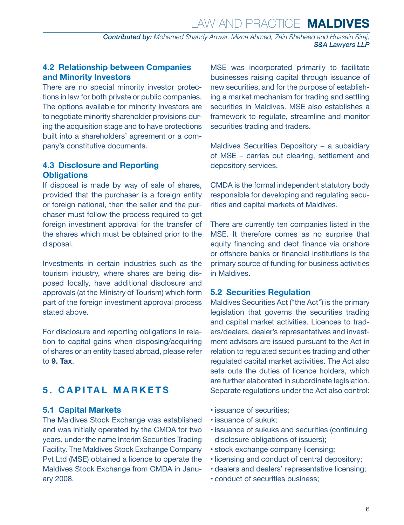*Contributed by: Mohamed Shahdy Anwar, Mizna Ahmed, Zain Shaheed and Hussain Siraj, S&A Lawyers LLP*

#### <span id="page-5-0"></span>**4.2 Relationship between Companies and Minority Investors**

There are no special minority investor protections in law for both private or public companies. The options available for minority investors are to negotiate minority shareholder provisions during the acquisition stage and to have protections built into a shareholders' agreement or a company's constitutive documents.

#### **4.3 Disclosure and Reporting Obligations**

If disposal is made by way of sale of shares, provided that the purchaser is a foreign entity or foreign national, then the seller and the purchaser must follow the process required to get foreign investment approval for the transfer of the shares which must be obtained prior to the disposal.

Investments in certain industries such as the tourism industry, where shares are being disposed locally, have additional disclosure and approvals (at the Ministry of Tourism) which form part of the foreign investment approval process stated above.

For disclosure and reporting obligations in relation to capital gains when disposing/acquiring of shares or an entity based abroad, please refer to **9. Tax**.

#### **5. CAPITAL MARKETS**

#### **5.1 Capital Markets**

The Maldives Stock Exchange was established and was initially operated by the CMDA for two years, under the name Interim Securities Trading Facility. The Maldives Stock Exchange Company Pvt Ltd (MSE) obtained a licence to operate the Maldives Stock Exchange from CMDA in January 2008.

MSE was incorporated primarily to facilitate businesses raising capital through issuance of new securities, and for the purpose of establishing a market mechanism for trading and settling securities in Maldives. MSE also establishes a framework to regulate, streamline and monitor securities trading and traders.

Maldives Securities Depository – a subsidiary of MSE – carries out clearing, settlement and depository services.

CMDA is the formal independent statutory body responsible for developing and regulating securities and capital markets of Maldives.

There are currently ten companies listed in the MSE. It therefore comes as no surprise that equity financing and debt finance via onshore or offshore banks or financial institutions is the primary source of funding for business activities in Maldives.

#### **5.2 Securities Regulation**

Maldives Securities Act ("the Act") is the primary legislation that governs the securities trading and capital market activities. Licences to traders/dealers, dealer's representatives and investment advisors are issued pursuant to the Act in relation to regulated securities trading and other regulated capital market activities. The Act also sets outs the duties of licence holders, which are further elaborated in subordinate legislation. Separate regulations under the Act also control:

- issuance of securities;
- issuance of sukuk;
- issuance of sukuks and securities (continuing disclosure obligations of issuers);
- stock exchange company licensing;
- licensing and conduct of central depository;
- dealers and dealers' representative licensing;
- conduct of securities business;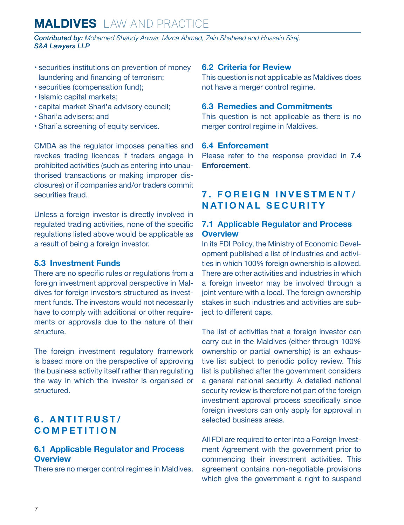## <span id="page-6-0"></span>**MALDIVES** LAW AND PRACTICE

*Contributed by: Mohamed Shahdy Anwar, Mizna Ahmed, Zain Shaheed and Hussain Siraj, S&A Lawyers LLP*

- securities institutions on prevention of money laundering and financing of terrorism;
- securities (compensation fund);
- Islamic capital markets;
- capital market Shari'a advisory council;
- Shari'a advisers; and
- Shari'a screening of equity services.

CMDA as the regulator imposes penalties and revokes trading licences if traders engage in prohibited activities (such as entering into unauthorised transactions or making improper disclosures) or if companies and/or traders commit securities fraud.

Unless a foreign investor is directly involved in regulated trading activities, none of the specific regulations listed above would be applicable as a result of being a foreign investor.

#### **5.3 Investment Funds**

There are no specific rules or regulations from a foreign investment approval perspective in Maldives for foreign investors structured as investment funds. The investors would not necessarily have to comply with additional or other requirements or approvals due to the nature of their structure.

The foreign investment regulatory framework is based more on the perspective of approving the business activity itself rather than regulating the way in which the investor is organised or structured.

#### **6. ANTITRUST/ COMPETITION**

#### **6.1 Applicable Regulator and Process Overview**

There are no merger control regimes in Maldives.

#### **6.2 Criteria for Review**

This question is not applicable as Maldives does not have a merger control regime.

#### **6.3 Remedies and Commitments**

This question is not applicable as there is no merger control regime in Maldives.

#### **6.4 Enforcement**

Please refer to the response provided in **7.4 Enforcement**.

#### **7. FOREIGN INVESTMENT/ NATIONAL SECURITY**

#### **7.1 Applicable Regulator and Process Overview**

In its FDI Policy, the Ministry of Economic Development published a list of industries and activities in which 100% foreign ownership is allowed. There are other activities and industries in which a foreign investor may be involved through a joint venture with a local. The foreign ownership stakes in such industries and activities are subject to different caps.

The list of activities that a foreign investor can carry out in the Maldives (either through 100% ownership or partial ownership) is an exhaustive list subject to periodic policy review. This list is published after the government considers a general national security. A detailed national security review is therefore not part of the foreign investment approval process specifically since foreign investors can only apply for approval in selected business areas.

All FDI are required to enter into a Foreign Investment Agreement with the government prior to commencing their investment activities. This agreement contains non-negotiable provisions which give the government a right to suspend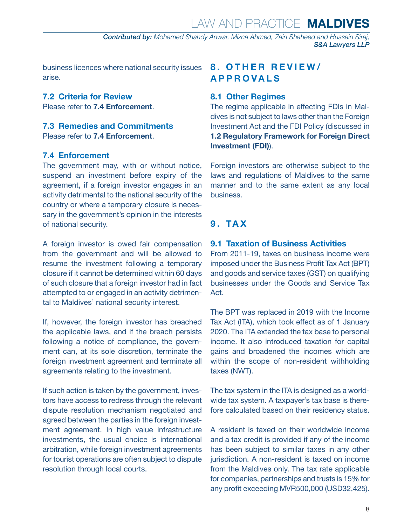*Contributed by: Mohamed Shahdy Anwar, Mizna Ahmed, Zain Shaheed and Hussain Siraj, S&A Lawyers LLP*

<span id="page-7-0"></span>business licences where national security issues arise.

#### **7.2 Criteria for Review**

Please refer to **7.4 Enforcement**.

#### **7.3 Remedies and Commitments** Please refer to **7.4 Enforcement**.

#### **7.4 Enforcement**

The government may, with or without notice, suspend an investment before expiry of the agreement, if a foreign investor engages in an activity detrimental to the national security of the country or where a temporary closure is necessary in the government's opinion in the interests of national security.

A foreign investor is owed fair compensation from the government and will be allowed to resume the investment following a temporary closure if it cannot be determined within 60 days of such closure that a foreign investor had in fact attempted to or engaged in an activity detrimental to Maldives' national security interest.

If, however, the foreign investor has breached the applicable laws, and if the breach persists following a notice of compliance, the government can, at its sole discretion, terminate the foreign investment agreement and terminate all agreements relating to the investment.

If such action is taken by the government, investors have access to redress through the relevant dispute resolution mechanism negotiated and agreed between the parties in the foreign investment agreement. In high value infrastructure investments, the usual choice is international arbitration, while foreign investment agreements for tourist operations are often subject to dispute resolution through local courts.

#### **8. OTHER REVIEW/ APPROVALS**

#### **8.1 Other Regimes**

The regime applicable in effecting FDIs in Maldives is not subject to laws other than the Foreign Investment Act and the FDI Policy (discussed in **1.2 Regulatory Framework for Foreign Direct Investment (FDI)**).

Foreign investors are otherwise subject to the laws and regulations of Maldives to the same manner and to the same extent as any local business.

#### **9. TAX**

#### **9.1 Taxation of Business Activities**

From 2011-19, taxes on business income were imposed under the Business Profit Tax Act (BPT) and goods and service taxes (GST) on qualifying businesses under the Goods and Service Tax Act.

The BPT was replaced in 2019 with the Income Tax Act (ITA), which took effect as of 1 January 2020. The ITA extended the tax base to personal income. It also introduced taxation for capital gains and broadened the incomes which are within the scope of non-resident withholding taxes (NWT).

The tax system in the ITA is designed as a worldwide tax system. A taxpayer's tax base is therefore calculated based on their residency status.

A resident is taxed on their worldwide income and a tax credit is provided if any of the income has been subject to similar taxes in any other jurisdiction. A non-resident is taxed on income from the Maldives only. The tax rate applicable for companies, partnerships and trusts is 15% for any profit exceeding MVR500,000 (USD32,425).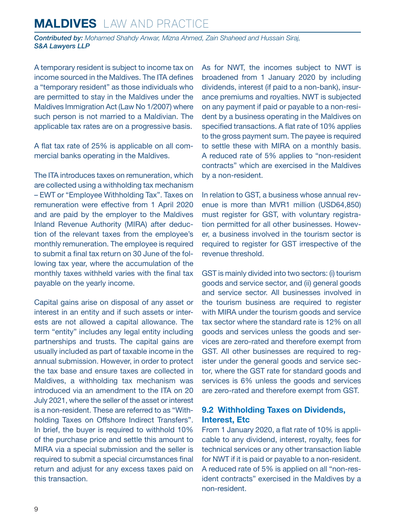## <span id="page-8-0"></span>**MALDIVES** LAW AND PRACTICE

*Contributed by: Mohamed Shahdy Anwar, Mizna Ahmed, Zain Shaheed and Hussain Siraj, S&A Lawyers LLP*

A temporary resident is subject to income tax on income sourced in the Maldives. The ITA defines a "temporary resident" as those individuals who are permitted to stay in the Maldives under the Maldives Immigration Act (Law No 1/2007) where such person is not married to a Maldivian. The applicable tax rates are on a progressive basis.

A flat tax rate of 25% is applicable on all commercial banks operating in the Maldives.

The ITA introduces taxes on remuneration, which are collected using a withholding tax mechanism – EWT or "Employee Withholding Tax". Taxes on remuneration were effective from 1 April 2020 and are paid by the employer to the Maldives Inland Revenue Authority (MIRA) after deduction of the relevant taxes from the employee's monthly remuneration. The employee is required to submit a final tax return on 30 June of the following tax year, where the accumulation of the monthly taxes withheld varies with the final tax payable on the yearly income.

Capital gains arise on disposal of any asset or interest in an entity and if such assets or interests are not allowed a capital allowance. The term "entity" includes any legal entity including partnerships and trusts. The capital gains are usually included as part of taxable income in the annual submission. However, in order to protect the tax base and ensure taxes are collected in Maldives, a withholding tax mechanism was introduced via an amendment to the ITA on 20 July 2021, where the seller of the asset or interest is a non-resident. These are referred to as "Withholding Taxes on Offshore Indirect Transfers". In brief, the buyer is required to withhold 10% of the purchase price and settle this amount to MIRA via a special submission and the seller is required to submit a special circumstances final return and adjust for any excess taxes paid on this transaction.

As for NWT, the incomes subject to NWT is broadened from 1 January 2020 by including dividends, interest (if paid to a non-bank), insurance premiums and royalties. NWT is subjected on any payment if paid or payable to a non-resident by a business operating in the Maldives on specified transactions. A flat rate of 10% applies to the gross payment sum. The payee is required to settle these with MIRA on a monthly basis. A reduced rate of 5% applies to "non-resident contracts" which are exercised in the Maldives by a non-resident.

In relation to GST, a business whose annual revenue is more than MVR1 million (USD64,850) must register for GST, with voluntary registration permitted for all other businesses. However, a business involved in the tourism sector is required to register for GST irrespective of the revenue threshold.

GST is mainly divided into two sectors: (i) tourism goods and service sector, and (ii) general goods and service sector. All businesses involved in the tourism business are required to register with MIRA under the tourism goods and service tax sector where the standard rate is 12% on all goods and services unless the goods and services are zero-rated and therefore exempt from GST. All other businesses are required to register under the general goods and service sector, where the GST rate for standard goods and services is 6% unless the goods and services are zero-rated and therefore exempt from GST.

#### **9.2 Withholding Taxes on Dividends, Interest, Etc**

From 1 January 2020, a flat rate of 10% is applicable to any dividend, interest, royalty, fees for technical services or any other transaction liable for NWT if it is paid or payable to a non-resident. A reduced rate of 5% is applied on all "non-resident contracts" exercised in the Maldives by a non-resident.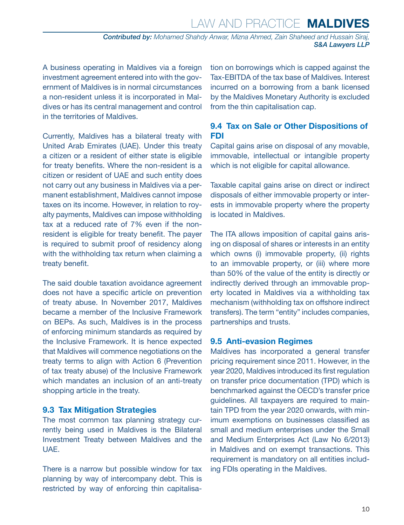## Law and Practice **MALDIVES**

*Contributed by: Mohamed Shahdy Anwar, Mizna Ahmed, Zain Shaheed and Hussain Siraj, S&A Lawyers LLP*

<span id="page-9-0"></span>A business operating in Maldives via a foreign investment agreement entered into with the government of Maldives is in normal circumstances a non-resident unless it is incorporated in Maldives or has its central management and control in the territories of Maldives.

Currently, Maldives has a bilateral treaty with United Arab Emirates (UAE). Under this treaty a citizen or a resident of either state is eligible for treaty benefits. Where the non-resident is a citizen or resident of UAE and such entity does not carry out any business in Maldives via a permanent establishment, Maldives cannot impose taxes on its income. However, in relation to royalty payments, Maldives can impose withholding tax at a reduced rate of 7% even if the nonresident is eligible for treaty benefit. The payer is required to submit proof of residency along with the withholding tax return when claiming a treaty benefit.

The said double taxation avoidance agreement does not have a specific article on prevention of treaty abuse. In November 2017, Maldives became a member of the Inclusive Framework on BEPs. As such, Maldives is in the process of enforcing minimum standards as required by the Inclusive Framework. It is hence expected that Maldives will commence negotiations on the treaty terms to align with Action 6 (Prevention of tax treaty abuse) of the Inclusive Framework which mandates an inclusion of an anti-treaty shopping article in the treaty.

#### **9.3 Tax Mitigation Strategies**

The most common tax planning strategy currently being used in Maldives is the Bilateral Investment Treaty between Maldives and the UAE.

There is a narrow but possible window for tax planning by way of intercompany debt. This is restricted by way of enforcing thin capitalisation on borrowings which is capped against the Tax-EBITDA of the tax base of Maldives. Interest incurred on a borrowing from a bank licensed by the Maldives Monetary Authority is excluded from the thin capitalisation cap.

#### **9.4 Tax on Sale or Other Dispositions of FDI**

Capital gains arise on disposal of any movable, immovable, intellectual or intangible property which is not eligible for capital allowance.

Taxable capital gains arise on direct or indirect disposals of either immovable property or interests in immovable property where the property is located in Maldives.

The ITA allows imposition of capital gains arising on disposal of shares or interests in an entity which owns (i) immovable property, (ii) rights to an immovable property, or (iii) where more than 50% of the value of the entity is directly or indirectly derived through an immovable property located in Maldives via a withholding tax mechanism (withholding tax on offshore indirect transfers). The term "entity" includes companies, partnerships and trusts.

#### **9.5 Anti-evasion Regimes**

Maldives has incorporated a general transfer pricing requirement since 2011. However, in the year 2020, Maldives introduced its first regulation on transfer price documentation (TPD) which is benchmarked against the OECD's transfer price guidelines. All taxpayers are required to maintain TPD from the year 2020 onwards, with minimum exemptions on businesses classified as small and medium enterprises under the Small and Medium Enterprises Act (Law No 6/2013) in Maldives and on exempt transactions. This requirement is mandatory on all entities including FDIs operating in the Maldives.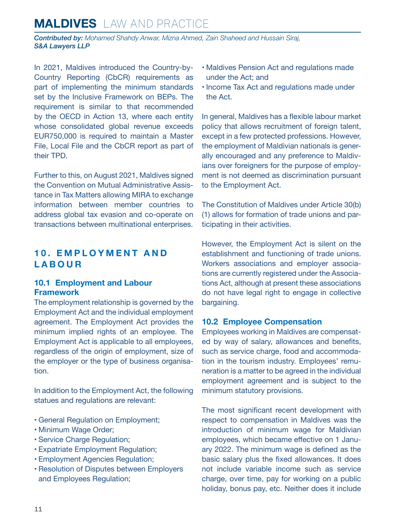<span id="page-10-0"></span>*Contributed by: Mohamed Shahdy Anwar, Mizna Ahmed, Zain Shaheed and Hussain Siraj, S&A Lawyers LLP*

In 2021, Maldives introduced the Country-by-Country Reporting (CbCR) requirements as part of implementing the minimum standards set by the Inclusive Framework on BEPs. The requirement is similar to that recommended by the OECD in Action 13, where each entity whose consolidated global revenue exceeds EUR750,000 is required to maintain a Master File, Local File and the CbCR report as part of their TPD.

Further to this, on August 2021, Maldives signed the Convention on Mutual Administrative Assistance in Tax Matters allowing MIRA to exchange information between member countries to address global tax evasion and co-operate on transactions between multinational enterprises.

#### **1 0 . E M P L O Y M E N T A N D LABOUR**

#### **10.1 Employment and Labour Framework**

The employment relationship is governed by the Employment Act and the individual employment agreement. The Employment Act provides the minimum implied rights of an employee. The Employment Act is applicable to all employees, regardless of the origin of employment, size of the employer or the type of business organisation.

In addition to the Employment Act, the following statues and regulations are relevant:

- General Regulation on Employment;
- Minimum Wage Order;
- Service Charge Regulation;
- Expatriate Employment Regulation;
- Employment Agencies Regulation;
- Resolution of Disputes between Employers and Employees Regulation;
- Maldives Pension Act and regulations made under the Act; and
- Income Tax Act and regulations made under the Act.

In general, Maldives has a flexible labour market policy that allows recruitment of foreign talent, except in a few protected professions. However, the employment of Maldivian nationals is generally encouraged and any preference to Maldivians over foreigners for the purpose of employment is not deemed as discrimination pursuant to the Employment Act.

The Constitution of Maldives under Article 30(b) (1) allows for formation of trade unions and participating in their activities.

However, the Employment Act is silent on the establishment and functioning of trade unions. Workers associations and employer associations are currently registered under the Associations Act, although at present these associations do not have legal right to engage in collective bargaining.

#### **10.2 Employee Compensation**

Employees working in Maldives are compensated by way of salary, allowances and benefits, such as service charge, food and accommodation in the tourism industry. Employees' remuneration is a matter to be agreed in the individual employment agreement and is subject to the minimum statutory provisions.

The most significant recent development with respect to compensation in Maldives was the introduction of minimum wage for Maldivian employees, which became effective on 1 January 2022. The minimum wage is defined as the basic salary plus the fixed allowances. It does not include variable income such as service charge, over time, pay for working on a public holiday, bonus pay, etc. Neither does it include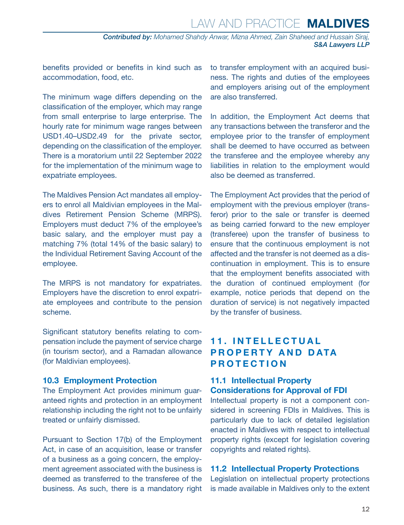## Law and Practice **MALDIVES**

*Contributed by: Mohamed Shahdy Anwar, Mizna Ahmed, Zain Shaheed and Hussain Siraj, S&A Lawyers LLP*

<span id="page-11-0"></span>benefits provided or benefits in kind such as accommodation, food, etc.

The minimum wage differs depending on the classification of the employer, which may range from small enterprise to large enterprise. The hourly rate for minimum wage ranges between USD1.40–USD2.49 for the private sector, depending on the classification of the employer. There is a moratorium until 22 September 2022 for the implementation of the minimum wage to expatriate employees.

The Maldives Pension Act mandates all employers to enrol all Maldivian employees in the Maldives Retirement Pension Scheme (MRPS). Employers must deduct 7% of the employee's basic salary, and the employer must pay a matching 7% (total 14% of the basic salary) to the Individual Retirement Saving Account of the employee.

The MRPS is not mandatory for expatriates. Employers have the discretion to enrol expatriate employees and contribute to the pension scheme.

Significant statutory benefits relating to compensation include the payment of service charge (in tourism sector), and a Ramadan allowance (for Maldivian employees).

#### **10.3 Employment Protection**

The Employment Act provides minimum guaranteed rights and protection in an employment relationship including the right not to be unfairly treated or unfairly dismissed.

Pursuant to Section 17(b) of the Employment Act, in case of an acquisition, lease or transfer of a business as a going concern, the employment agreement associated with the business is deemed as transferred to the transferee of the business. As such, there is a mandatory right to transfer employment with an acquired business. The rights and duties of the employees and employers arising out of the employment are also transferred.

In addition, the Employment Act deems that any transactions between the transferor and the employee prior to the transfer of employment shall be deemed to have occurred as between the transferee and the employee whereby any liabilities in relation to the employment would also be deemed as transferred.

The Employment Act provides that the period of employment with the previous employer (transferor) prior to the sale or transfer is deemed as being carried forward to the new employer (transferee) upon the transfer of business to ensure that the continuous employment is not affected and the transfer is not deemed as a discontinuation in employment. This is to ensure that the employment benefits associated with the duration of continued employment (for example, notice periods that depend on the duration of service) is not negatively impacted by the transfer of business.

#### **1 1 . I N T E L L E C T U A L PROPERTY AND DATA PROTECTION**

#### **11.1 Intellectual Property Considerations for Approval of FDI**

Intellectual property is not a component considered in screening FDIs in Maldives. This is particularly due to lack of detailed legislation enacted in Maldives with respect to intellectual property rights (except for legislation covering copyrights and related rights).

#### **11.2 Intellectual Property Protections**

Legislation on intellectual property protections is made available in Maldives only to the extent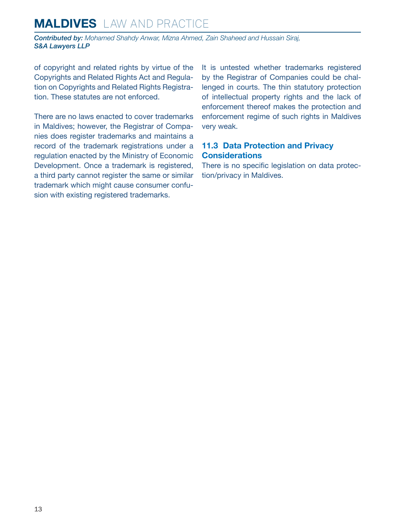<span id="page-12-0"></span>*Contributed by: Mohamed Shahdy Anwar, Mizna Ahmed, Zain Shaheed and Hussain Siraj, S&A Lawyers LLP*

of copyright and related rights by virtue of the Copyrights and Related Rights Act and Regulation on Copyrights and Related Rights Registration. These statutes are not enforced.

There are no laws enacted to cover trademarks in Maldives; however, the Registrar of Companies does register trademarks and maintains a record of the trademark registrations under a regulation enacted by the Ministry of Economic Development. Once a trademark is registered, a third party cannot register the same or similar trademark which might cause consumer confusion with existing registered trademarks.

It is untested whether trademarks registered by the Registrar of Companies could be challenged in courts. The thin statutory protection of intellectual property rights and the lack of enforcement thereof makes the protection and enforcement regime of such rights in Maldives very weak.

#### **11.3 Data Protection and Privacy Considerations**

There is no specific legislation on data protection/privacy in Maldives.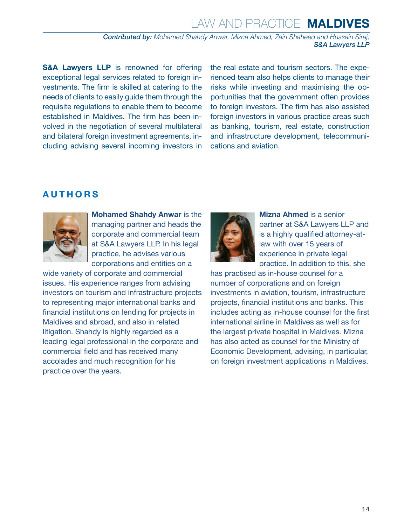## Law and Practice **MALDIVES**

*Contributed by: Mohamed Shahdy Anwar, Mizna Ahmed, Zain Shaheed and Hussain Siraj, S&A Lawyers LLP*

**S&A Lawyers LLP** is renowned for offering exceptional legal services related to foreign investments. The firm is skilled at catering to the needs of clients to easily guide them through the requisite regulations to enable them to become established in Maldives. The firm has been involved in the negotiation of several multilateral and bilateral foreign investment agreements, including advising several incoming investors in the real estate and tourism sectors. The experienced team also helps clients to manage their risks while investing and maximising the opportunities that the government often provides to foreign investors. The firm has also assisted foreign investors in various practice areas such as banking, tourism, real estate, construction and infrastructure development, telecommunications and aviation.

#### <span id="page-13-0"></span>**AUTHORS**



**Mohamed Shahdy Anwar** is the managing partner and heads the corporate and commercial team at S&A Lawyers LLP. In his legal practice, he advises various corporations and entities on a

wide variety of corporate and commercial issues. His experience ranges from advising investors on tourism and infrastructure projects to representing major international banks and financial institutions on lending for projects in Maldives and abroad, and also in related litigation. Shahdy is highly regarded as a leading legal professional in the corporate and commercial field and has received many accolades and much recognition for his practice over the years.



**Mizna Ahmed** is a senior partner at S&A Lawyers LLP and is a highly qualified attorney-atlaw with over 15 years of experience in private legal practice. In addition to this, she

has practised as in-house counsel for a number of corporations and on foreign investments in aviation, tourism, infrastructure projects, financial institutions and banks. This includes acting as in-house counsel for the first international airline in Maldives as well as for the largest private hospital in Maldives. Mizna has also acted as counsel for the Ministry of Economic Development, advising, in particular, on foreign investment applications in Maldives.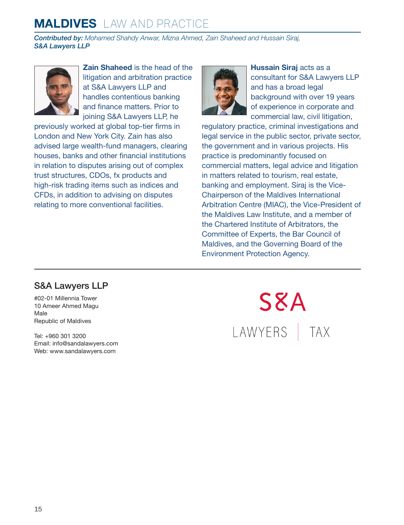*Contributed by: Mohamed Shahdy Anwar, Mizna Ahmed, Zain Shaheed and Hussain Siraj, S&A Lawyers LLP*



**Zain Shaheed** is the head of the litigation and arbitration practice at S&A Lawyers LLP and handles contentious banking and finance matters. Prior to joining S&A Lawyers LLP, he

previously worked at global top-tier firms in London and New York City. Zain has also advised large wealth-fund managers, clearing houses, banks and other financial institutions in relation to disputes arising out of complex trust structures, CDOs, fx products and high-risk trading items such as indices and CFDs, in addition to advising on disputes relating to more conventional facilities.



**Hussain Siraj** acts as a consultant for S&A Lawyers LLP and has a broad legal background with over 19 years of experience in corporate and commercial law, civil litigation,

regulatory practice, criminal investigations and legal service in the public sector, private sector, the government and in various projects. His practice is predominantly focused on commercial matters, legal advice and litigation in matters related to tourism, real estate, banking and employment. Siraj is the Vice-Chairperson of the Maldives International Arbitration Centre (MIAC), the Vice-President of the Maldives Law Institute, and a member of the Chartered Institute of Arbitrators, the Committee of Experts, the Bar Council of Maldives, and the Governing Board of the Environment Protection Agency.

#### S&A Lawyers LLP

#02-01 Millennia Tower 10 Ameer Ahmed Magu Male Republic of Maldives

Tel: +960 301 3200 Email: [info@sandalawyers.com](mailto:info@sandalawyers.com) Web: [www.sandalawyers.com](http://www.sandalawyers.com)

**S**EA LAWYERS | TAX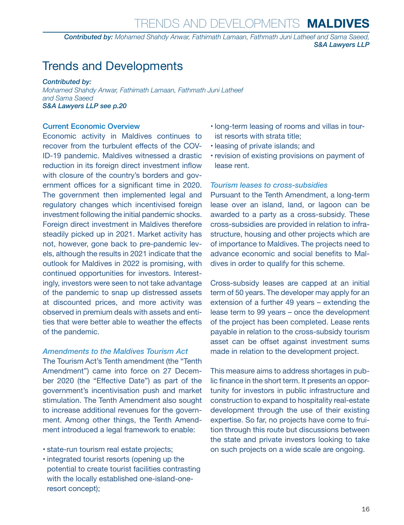*Contributed by: Mohamed Shahdy Anwar, Fathimath Lamaan, Fathmath Juni Latheef and Sama Saeed, S&A Lawyers LLP*

## Trends and Developments

*Contributed by:*

*Mohamed Shahdy Anwar, Fathimath Lamaan, Fathmath Juni Latheef and Sama Saeed S&A Lawyers LLP [see p.20](#page-19-0)*

#### Current Economic Overview

Economic activity in Maldives continues to recover from the turbulent effects of the COV-ID-19 pandemic. Maldives witnessed a drastic reduction in its foreign direct investment inflow with closure of the country's borders and government offices for a significant time in 2020. The government then implemented legal and regulatory changes which incentivised foreign investment following the initial pandemic shocks. Foreign direct investment in Maldives therefore steadily picked up in 2021. Market activity has not, however, gone back to pre-pandemic levels, although the results in 2021 indicate that the outlook for Maldives in 2022 is promising, with continued opportunities for investors. Interestingly, investors were seen to not take advantage of the pandemic to snap up distressed assets at discounted prices, and more activity was observed in premium deals with assets and entities that were better able to weather the effects of the pandemic.

#### *Amendments to the Maldives Tourism Act*

The Tourism Act's Tenth amendment (the "Tenth Amendment") came into force on 27 December 2020 (the "Effective Date") as part of the government's incentivisation push and market stimulation. The Tenth Amendment also sought to increase additional revenues for the government. Among other things, the Tenth Amendment introduced a legal framework to enable:

- state-run tourism real estate projects;
- integrated tourist resorts (opening up the potential to create tourist facilities contrasting with the locally established one-island-oneresort concept);
- long-term leasing of rooms and villas in tourist resorts with strata title;
- leasing of private islands; and
- revision of existing provisions on payment of lease rent.

#### *Tourism leases to cross-subsidies*

Pursuant to the Tenth Amendment, a long-term lease over an island, land, or lagoon can be awarded to a party as a cross-subsidy. These cross-subsidies are provided in relation to infrastructure, housing and other projects which are of importance to Maldives. The projects need to advance economic and social benefits to Maldives in order to qualify for this scheme.

Cross-subsidy leases are capped at an initial term of 50 years. The developer may apply for an extension of a further 49 years – extending the lease term to 99 years – once the development of the project has been completed. Lease rents payable in relation to the cross-subsidy tourism asset can be offset against investment sums made in relation to the development project.

This measure aims to address shortages in public finance in the short term. It presents an opportunity for investors in public infrastructure and construction to expand to hospitality real-estate development through the use of their existing expertise. So far, no projects have come to fruition through this route but discussions between the state and private investors looking to take on such projects on a wide scale are ongoing.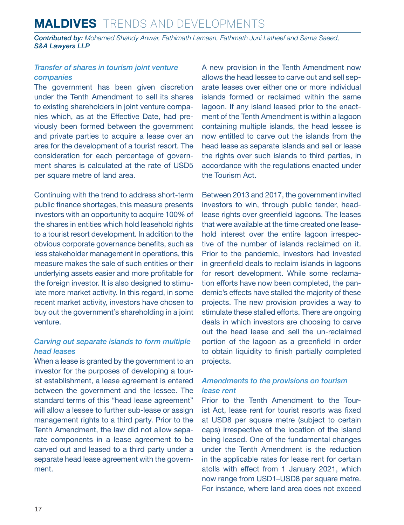## **MALDIVES** Trends and Developments

*Contributed by: Mohamed Shahdy Anwar, Fathimath Lamaan, Fathmath Juni Latheef and Sama Saeed, S&A Lawyers LLP*

#### *Transfer of shares in tourism joint venture companies*

The government has been given discretion under the Tenth Amendment to sell its shares to existing shareholders in joint venture companies which, as at the Effective Date, had previously been formed between the government and private parties to acquire a lease over an area for the development of a tourist resort. The consideration for each percentage of government shares is calculated at the rate of USD5 per square metre of land area.

Continuing with the trend to address short-term public finance shortages, this measure presents investors with an opportunity to acquire 100% of the shares in entities which hold leasehold rights to a tourist resort development. In addition to the obvious corporate governance benefits, such as less stakeholder management in operations, this measure makes the sale of such entities or their underlying assets easier and more profitable for the foreign investor. It is also designed to stimulate more market activity. In this regard, in some recent market activity, investors have chosen to buy out the government's shareholding in a joint venture.

#### *Carving out separate islands to form multiple head leases*

When a lease is granted by the government to an investor for the purposes of developing a tourist establishment, a lease agreement is entered between the government and the lessee. The standard terms of this "head lease agreement" will allow a lessee to further sub-lease or assign management rights to a third party. Prior to the Tenth Amendment, the law did not allow separate components in a lease agreement to be carved out and leased to a third party under a separate head lease agreement with the government.

A new provision in the Tenth Amendment now allows the head lessee to carve out and sell separate leases over either one or more individual islands formed or reclaimed within the same lagoon. If any island leased prior to the enactment of the Tenth Amendment is within a lagoon containing multiple islands, the head lessee is now entitled to carve out the islands from the head lease as separate islands and sell or lease the rights over such islands to third parties, in accordance with the regulations enacted under the Tourism Act.

Between 2013 and 2017, the government invited investors to win, through public tender, headlease rights over greenfield lagoons. The leases that were available at the time created one leasehold interest over the entire lagoon irrespective of the number of islands reclaimed on it. Prior to the pandemic, investors had invested in greenfield deals to reclaim islands in lagoons for resort development. While some reclamation efforts have now been completed, the pandemic's effects have stalled the majority of these projects. The new provision provides a way to stimulate these stalled efforts. There are ongoing deals in which investors are choosing to carve out the head lease and sell the un-reclaimed portion of the lagoon as a greenfield in order to obtain liquidity to finish partially completed projects.

#### *Amendments to the provisions on tourism lease rent*

Prior to the Tenth Amendment to the Tourist Act, lease rent for tourist resorts was fixed at USD8 per square metre (subject to certain caps) irrespective of the location of the island being leased. One of the fundamental changes under the Tenth Amendment is the reduction in the applicable rates for lease rent for certain atolls with effect from 1 January 2021, which now range from USD1–USD8 per square metre. For instance, where land area does not exceed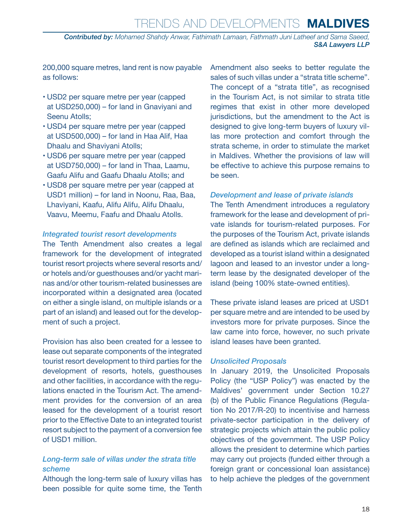## Trends and Developments **MALDIVES**

*Contributed by: Mohamed Shahdy Anwar, Fathimath Lamaan, Fathmath Juni Latheef and Sama Saeed, S&A Lawyers LLP*

200,000 square metres, land rent is now payable as follows:

- USD2 per square metre per year (capped at USD250,000) – for land in Gnaviyani and Seenu Atolls;
- USD4 per square metre per year (capped at USD500,000) – for land in Haa Alif, Haa Dhaalu and Shaviyani Atolls;
- USD6 per square metre per year (capped at USD750,000) – for land in Thaa, Laamu, Gaafu Alifu and Gaafu Dhaalu Atolls; and
- USD8 per square metre per year (capped at USD1 million) – for land in Noonu, Raa, Baa, Lhaviyani, Kaafu, Alifu Alifu, Alifu Dhaalu, Vaavu, Meemu, Faafu and Dhaalu Atolls.

#### *Integrated tourist resort developments*

The Tenth Amendment also creates a legal framework for the development of integrated tourist resort projects where several resorts and/ or hotels and/or guesthouses and/or yacht marinas and/or other tourism-related businesses are incorporated within a designated area (located on either a single island, on multiple islands or a part of an island) and leased out for the development of such a project.

Provision has also been created for a lessee to lease out separate components of the integrated tourist resort development to third parties for the development of resorts, hotels, guesthouses and other facilities, in accordance with the regulations enacted in the Tourism Act. The amendment provides for the conversion of an area leased for the development of a tourist resort prior to the Effective Date to an integrated tourist resort subject to the payment of a conversion fee of USD1 million.

#### *Long-term sale of villas under the strata title scheme*

Although the long-term sale of luxury villas has been possible for quite some time, the Tenth Amendment also seeks to better regulate the sales of such villas under a "strata title scheme". The concept of a "strata title", as recognised in the Tourism Act, is not similar to strata title regimes that exist in other more developed jurisdictions, but the amendment to the Act is designed to give long-term buyers of luxury villas more protection and comfort through the strata scheme, in order to stimulate the market in Maldives. Whether the provisions of law will be effective to achieve this purpose remains to be seen.

#### *Development and lease of private islands*

The Tenth Amendment introduces a regulatory framework for the lease and development of private islands for tourism-related purposes. For the purposes of the Tourism Act, private islands are defined as islands which are reclaimed and developed as a tourist island within a designated lagoon and leased to an investor under a longterm lease by the designated developer of the island (being 100% state-owned entities).

These private island leases are priced at USD1 per square metre and are intended to be used by investors more for private purposes. Since the law came into force, however, no such private island leases have been granted.

#### *Unsolicited Proposals*

In January 2019, the Unsolicited Proposals Policy (the "USP Policy") was enacted by the Maldives' government under Section 10.27 (b) of the Public Finance Regulations (Regulation No 2017/R-20) to incentivise and harness private-sector participation in the delivery of strategic projects which attain the public policy objectives of the government. The USP Policy allows the president to determine which parties may carry out projects (funded either through a foreign grant or concessional loan assistance) to help achieve the pledges of the government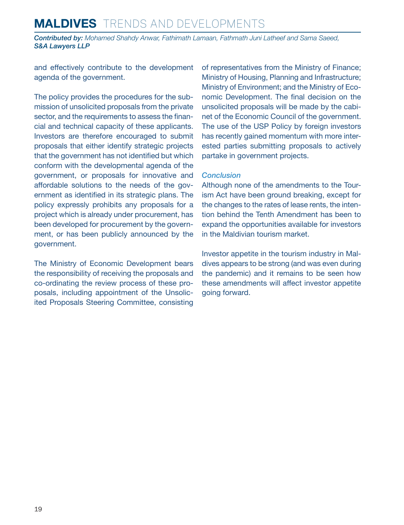## **MALDIVES** Trends and Developments

*Contributed by: Mohamed Shahdy Anwar, Fathimath Lamaan, Fathmath Juni Latheef and Sama Saeed, S&A Lawyers LLP*

and effectively contribute to the development agenda of the government.

The policy provides the procedures for the submission of unsolicited proposals from the private sector, and the requirements to assess the financial and technical capacity of these applicants. Investors are therefore encouraged to submit proposals that either identify strategic projects that the government has not identified but which conform with the developmental agenda of the government, or proposals for innovative and affordable solutions to the needs of the government as identified in its strategic plans. The policy expressly prohibits any proposals for a project which is already under procurement, has been developed for procurement by the government, or has been publicly announced by the government.

The Ministry of Economic Development bears the responsibility of receiving the proposals and co-ordinating the review process of these proposals, including appointment of the Unsolicited Proposals Steering Committee, consisting of representatives from the Ministry of Finance; Ministry of Housing, Planning and Infrastructure; Ministry of Environment; and the Ministry of Economic Development. The final decision on the unsolicited proposals will be made by the cabinet of the Economic Council of the government. The use of the USP Policy by foreign investors has recently gained momentum with more interested parties submitting proposals to actively partake in government projects.

#### *Conclusion*

Although none of the amendments to the Tourism Act have been ground breaking, except for the changes to the rates of lease rents, the intention behind the Tenth Amendment has been to expand the opportunities available for investors in the Maldivian tourism market.

Investor appetite in the tourism industry in Maldives appears to be strong (and was even during the pandemic) and it remains to be seen how these amendments will affect investor appetite going forward.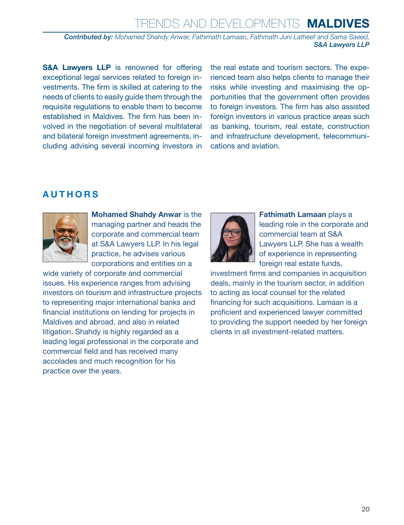## Trends and Developments **MALDIVES**

*Contributed by: Mohamed Shahdy Anwar, Fathimath Lamaan, Fathmath Juni Latheef and Sama Saeed, S&A Lawyers LLP*

**S&A Lawyers LLP** is renowned for offering exceptional legal services related to foreign investments. The firm is skilled at catering to the needs of clients to easily guide them through the requisite regulations to enable them to become established in Maldives. The firm has been involved in the negotiation of several multilateral and bilateral foreign investment agreements, including advising several incoming investors in the real estate and tourism sectors. The experienced team also helps clients to manage their risks while investing and maximising the opportunities that the government often provides to foreign investors. The firm has also assisted foreign investors in various practice areas such as banking, tourism, real estate, construction and infrastructure development, telecommunications and aviation.

#### <span id="page-19-0"></span>**AUTHORS**



**Mohamed Shahdy Anwar** is the managing partner and heads the corporate and commercial team at S&A Lawyers LLP. In his legal practice, he advises various corporations and entities on a

wide variety of corporate and commercial issues. His experience ranges from advising investors on tourism and infrastructure projects to representing major international banks and financial institutions on lending for projects in Maldives and abroad, and also in related litigation. Shahdy is highly regarded as a leading legal professional in the corporate and commercial field and has received many accolades and much recognition for his practice over the years.



**Fathimath Lamaan** plays a leading role in the corporate and commercial team at S&A Lawyers LLP. She has a wealth of experience in representing foreign real estate funds,

investment firms and companies in acquisition deals, mainly in the tourism sector, in addition to acting as local counsel for the related financing for such acquisitions. Lamaan is a proficient and experienced lawyer committed to providing the support needed by her foreign clients in all investment-related matters.